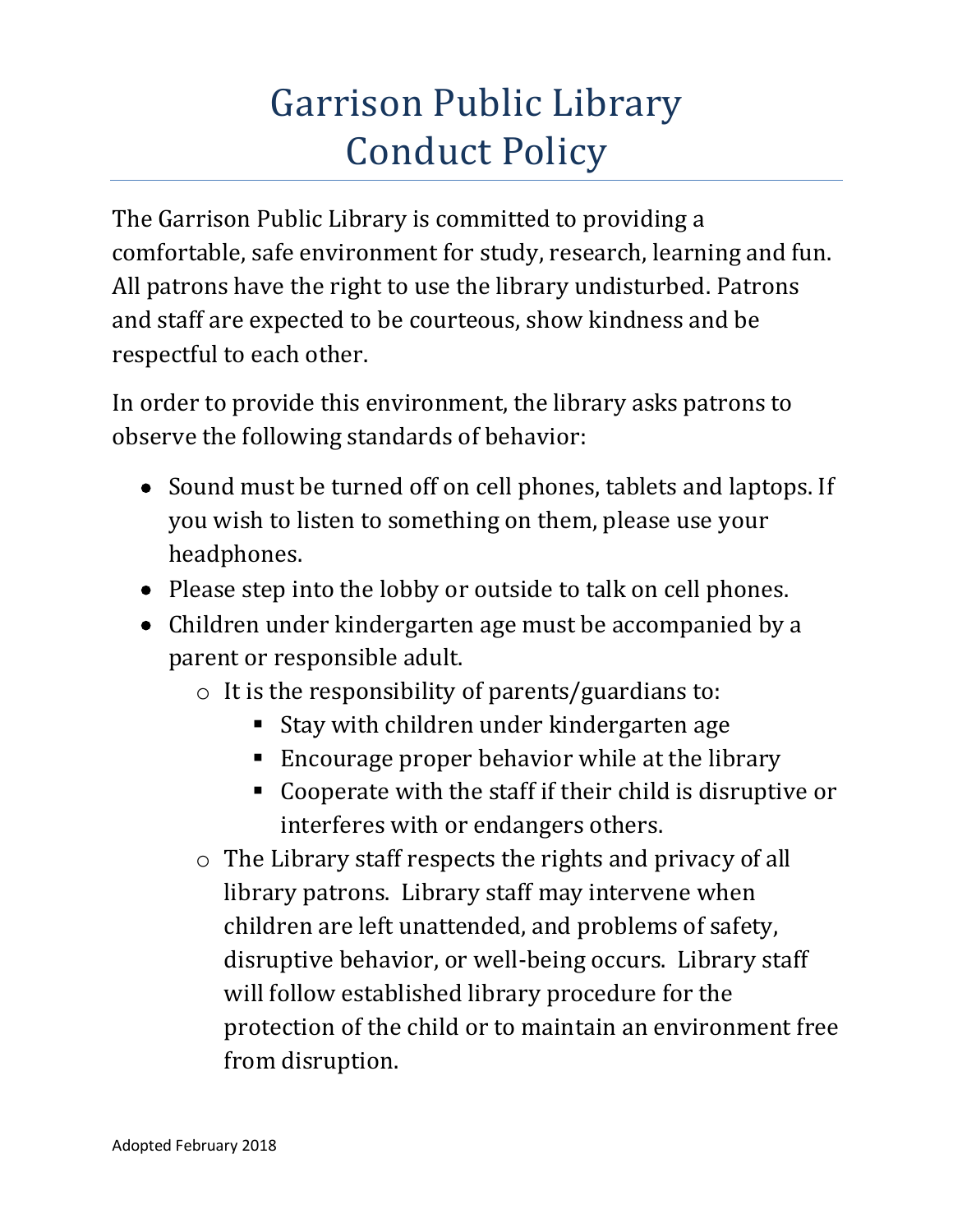## Garrison Public Library Conduct Policy

The Garrison Public Library is committed to providing a comfortable, safe environment for study, research, learning and fun. All patrons have the right to use the library undisturbed. Patrons and staff are expected to be courteous, show kindness and be respectful to each other.

In order to provide this environment, the library asks patrons to observe the following standards of behavior:

- Sound must be turned off on cell phones, tablets and laptops. If you wish to listen to something on them, please use your headphones.
- Please step into the lobby or outside to talk on cell phones.
- Children under kindergarten age must be accompanied by a parent or responsible adult.
	- o It is the responsibility of parents/guardians to:
		- Stay with children under kindergarten age
		- **Encourage proper behavior while at the library**
		- Cooperate with the staff if their child is disruptive or interferes with or endangers others.
	- o The Library staff respects the rights and privacy of all library patrons. Library staff may intervene when children are left unattended, and problems of safety, disruptive behavior, or well-being occurs. Library staff will follow established library procedure for the protection of the child or to maintain an environment free from disruption.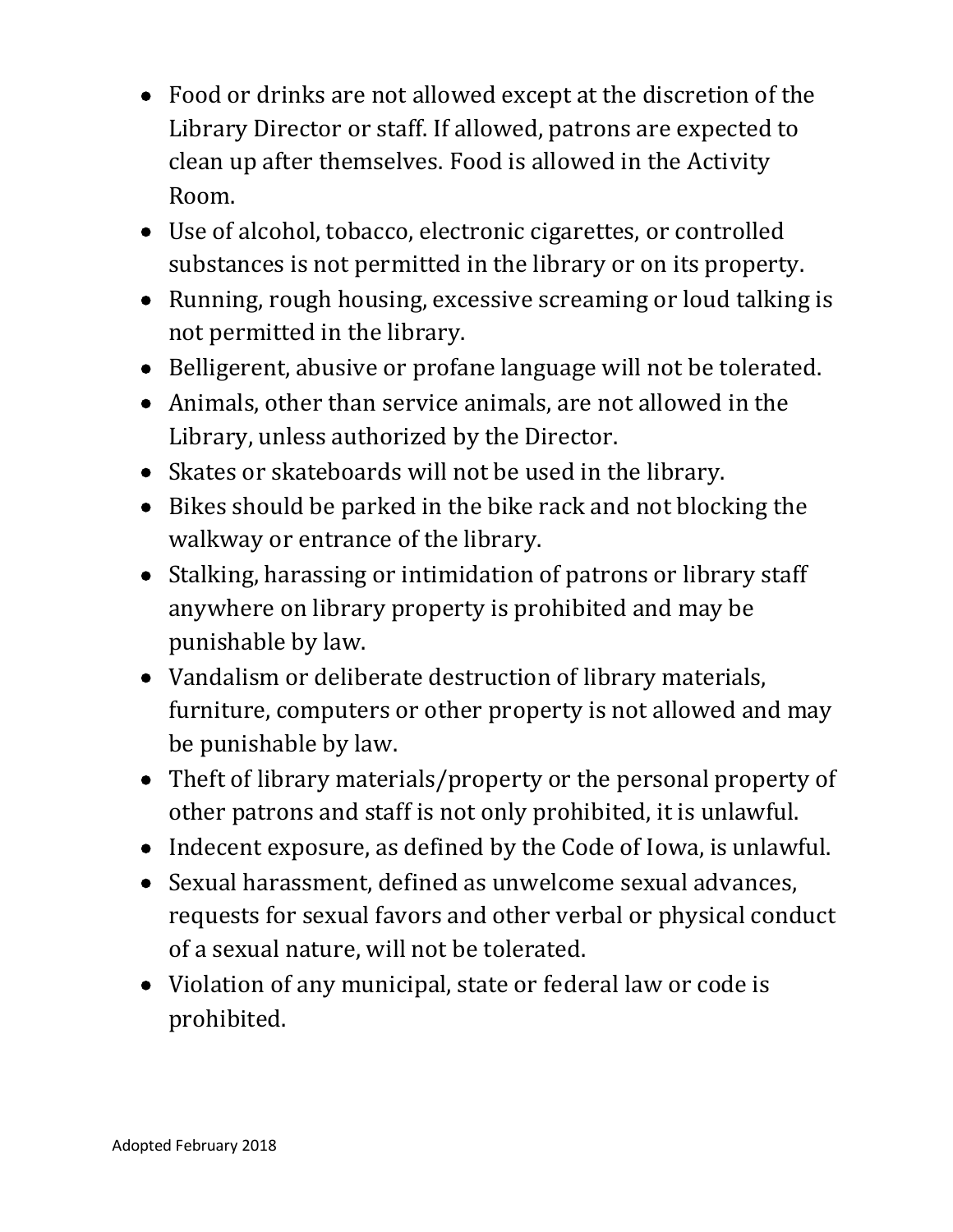- Food or drinks are not allowed except at the discretion of the Library Director or staff. If allowed, patrons are expected to clean up after themselves. Food is allowed in the Activity Room.
- Use of alcohol, tobacco, electronic cigarettes, or controlled substances is not permitted in the library or on its property.
- Running, rough housing, excessive screaming or loud talking is not permitted in the library.
- Belligerent, abusive or profane language will not be tolerated.
- Animals, other than service animals, are not allowed in the Library, unless authorized by the Director.
- Skates or skateboards will not be used in the library.
- Bikes should be parked in the bike rack and not blocking the walkway or entrance of the library.
- Stalking, harassing or intimidation of patrons or library staff anywhere on library property is prohibited and may be punishable by law.
- Vandalism or deliberate destruction of library materials, furniture, computers or other property is not allowed and may be punishable by law.
- Theft of library materials/property or the personal property of other patrons and staff is not only prohibited, it is unlawful.
- Indecent exposure, as defined by the Code of Iowa, is unlawful.
- Sexual harassment, defined as unwelcome sexual advances, requests for sexual favors and other verbal or physical conduct of a sexual nature, will not be tolerated.
- Violation of any municipal, state or federal law or code is prohibited.